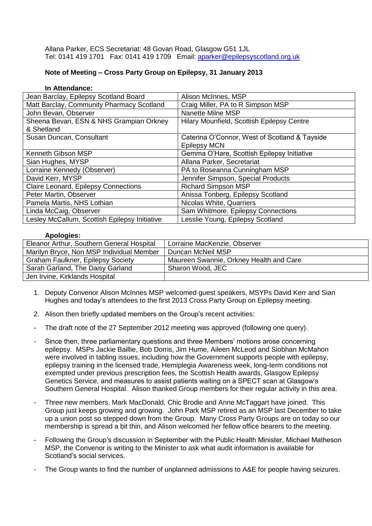Allana Parker, ECS Secretariat: 48 Govan Road, Glasgow G51 1JL Tel: 0141 419 1701 Fax: 0141 419 1709 Email: [aparker@epilepsyscotland.org.uk](mailto:aparker@epilepsyscotland.org.uk)

## **Note of Meeting – Cross Party Group on Epilepsy, 31 January 2013**

| In Attendance:                                |                                               |
|-----------------------------------------------|-----------------------------------------------|
| Jean Barclay, Epilepsy Scotland Board         | Alison McInnes, MSP                           |
| Matt Barclay, Community Pharmacy Scotland     | Craig Miller, PA to R Simpson MSP             |
| John Bevan, Observer                          | <b>Nanette Milne MSP</b>                      |
| Sheena Bevan, ESN & NHS Grampian Orkney       | Hilary Mounfield, Scottish Epilepsy Centre    |
| & Shetland                                    |                                               |
| Susan Duncan, Consultant                      | Caterina O'Connor, West of Scotland & Tayside |
|                                               | <b>Epilepsy MCN</b>                           |
| Kenneth Gibson MSP                            | Gemma O'Hare, Scottish Epilepsy Initiative    |
| Sian Hughes, MYSP                             | Allana Parker, Secretariat                    |
| Lorraine Kennedy (Observer)                   | PA to Roseanna Cunningham MSP                 |
| David Kerr, MYSP                              | Jennifer Simpson, Special Products            |
| Claire Leonard, Epilepsy Connections          | <b>Richard Simpson MSP</b>                    |
| Peter Martin, Observer                        | Anissa Tonberg, Epilepsy Scotland             |
| Pamela Martis, NHS Lothian                    | Nicolas White, Quarriers                      |
| Linda McCaig, Observer                        | Sam Whitmore. Epilepsy Connections            |
| Lesley McCallum, Scottish Epilepsy Initiative | Lesslie Young, Epilepsy Scotland              |

## **Apologies:**

| Eleanor Arthur, Southern General Hospital | Lorraine MacKenzie, Observer            |
|-------------------------------------------|-----------------------------------------|
| Marilyn Bryce, Non MSP Individual Member  | Duncan McNeil MSP                       |
| <b>Graham Faulkner, Epilepsy Society</b>  | Maureen Swannie, Orkney Health and Care |
| Sarah Garland, The Daisy Garland          | Sharon Wood, JEC                        |
| Jen Irvine, Kirklands Hospital            |                                         |

- 1. Deputy Convenor Alison McInnes MSP welcomed guest speakers, MSYPs David Kerr and Sian Hughes and today's attendees to the first 2013 Cross Party Group on Epilepsy meeting.
- 2. Alison then briefly updated members on the Group's recent activities:
- The draft note of the 27 September 2012 meeting was approved (following one query).
- Since then, three parliamentary questions and three Members' motions arose concerning epilepsy. MSPs Jackie Baillie, Bob Dorris, Jim Hume, Aileen McLeod and Siobhan McMahon were involved in tabling issues, including how the Government supports people with epilepsy, epilepsy training in the licensed trade, Hemiplegia Awareness week, long-term conditions not exempted under previous prescription fees, the Scottish Health awards, Glasgow Epilepsy Genetics Service, and measures to assist patients waiting on a SPECT scan at Glasgow's Southern General Hospital. Alison thanked Group members for their regular activity in this area.
- Three new members, Mark MacDonald, Chic Brodie and Anne McTaggart have joined. This Group just keeps growing and growing. John Park MSP retired as an MSP last December to take up a union post so stepped down from the Group. Many Cross Party Groups are on today so our membership is spread a bit thin, and Alison welcomed her fellow office bearers to the meeting.
- Following the Group's discussion in September with the Public Health Minister, Michael Matheson MSP, the Convenor is writing to the Minister to ask what audit information is available for Scotland's social services.
- The Group wants to find the number of unplanned admissions to A&E for people having seizures.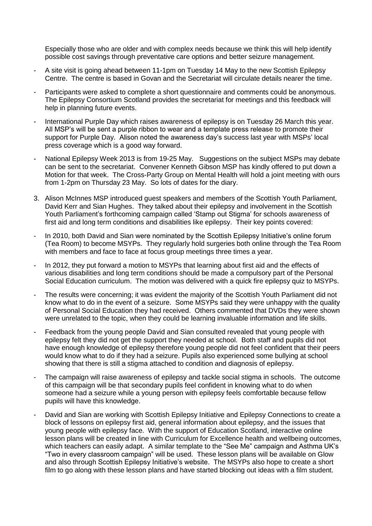Especially those who are older and with complex needs because we think this will help identify possible cost savings through preventative care options and better seizure management.

- A site visit is going ahead between 11-1pm on Tuesday 14 May to the new Scottish Epilepsy Centre. The centre is based in Govan and the Secretariat will circulate details nearer the time.
- Participants were asked to complete a short questionnaire and comments could be anonymous. The Epilepsy Consortium Scotland provides the secretariat for meetings and this feedback will help in planning future events.
- International Purple Day which raises awareness of epilepsy is on Tuesday 26 March this year. All MSP's will be sent a purple ribbon to wear and a template press release to promote their support for Purple Day. Alison noted the awareness day's success last year with MSPs' local press coverage which is a good way forward.
- National Epilepsy Week 2013 is from 19-25 May. Suggestions on the subject MSPs may debate can be sent to the secretariat. Convener Kenneth Gibson MSP has kindly offered to put down a Motion for that week. The Cross-Party Group on Mental Health will hold a joint meeting with ours from 1-2pm on Thursday 23 May. So lots of dates for the diary.
- 3. Alison McInnes MSP introduced guest speakers and members of the Scottish Youth Parliament, David Kerr and Sian Hughes. They talked about their epilepsy and involvement in the Scottish Youth Parliament's forthcoming campaign called 'Stamp out Stigma' for schools awareness of first aid and long term conditions and disabilities like epilepsy. Their key points covered:
- In 2010, both David and Sian were nominated by the Scottish Epilepsy Initiative's online forum (Tea Room) to become MSYPs. They regularly hold surgeries both online through the Tea Room with members and face to face at focus group meetings three times a year.
- In 2012, they put forward a motion to MSYPs that learning about first aid and the effects of various disabilities and long term conditions should be made a compulsory part of the Personal Social Education curriculum. The motion was delivered with a quick fire epilepsy quiz to MSYPs.
- The results were concerning; it was evident the majority of the Scottish Youth Parliament did not know what to do in the event of a seizure. Some MSYPs said they were unhappy with the quality of Personal Social Education they had received. Others commented that DVDs they were shown were unrelated to the topic, when they could be learning invaluable information and life skills.
- Feedback from the young people David and Sian consulted revealed that young people with epilepsy felt they did not get the support they needed at school. Both staff and pupils did not have enough knowledge of epilepsy therefore young people did not feel confident that their peers would know what to do if they had a seizure. Pupils also experienced some bullying at school showing that there is still a stigma attached to condition and diagnosis of epilepsy.
- The campaign will raise awareness of epilepsy and tackle social stigma in schools. The outcome of this campaign will be that secondary pupils feel confident in knowing what to do when someone had a seizure while a young person with epilepsy feels comfortable because fellow pupils will have this knowledge.
- David and Sian are working with Scottish Epilepsy Initiative and Epilepsy Connections to create a block of lessons on epilepsy first aid, general information about epilepsy, and the issues that young people with epilepsy face. With the support of Education Scotland, interactive online lesson plans will be created in line with Curriculum for Excellence health and wellbeing outcomes, which teachers can easily adapt. A similar template to the "See Me" campaign and Asthma UK's "Two in every classroom campaign" will be used. These lesson plans will be available on Glow and also through Scottish Epilepsy Initiative's website. The MSYPs also hope to create a short film to go along with these lesson plans and have started blocking out ideas with a film student.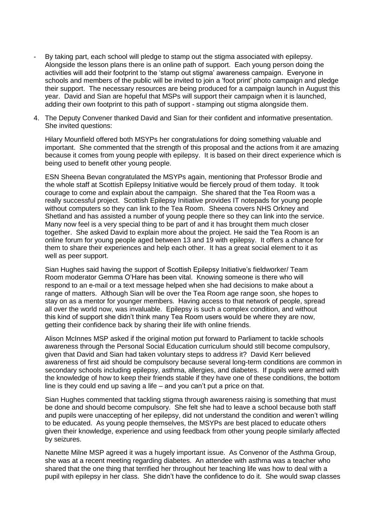- By taking part, each school will pledge to stamp out the stigma associated with epilepsy. Alongside the lesson plans there is an online path of support. Each young person doing the activities will add their footprint to the 'stamp out stigma' awareness campaign. Everyone in schools and members of the public will be invited to join a 'foot print' photo campaign and pledge their support. The necessary resources are being produced for a campaign launch in August this year. David and Sian are hopeful that MSPs will support their campaign when it is launched, adding their own footprint to this path of support - stamping out stigma alongside them.
- 4. The Deputy Convener thanked David and Sian for their confident and informative presentation. She invited questions:

Hilary Mounfield offered both MSYPs her congratulations for doing something valuable and important. She commented that the strength of this proposal and the actions from it are amazing because it comes from young people with epilepsy. It is based on their direct experience which is being used to benefit other young people.

ESN Sheena Bevan congratulated the MSYPs again, mentioning that Professor Brodie and the whole staff at Scottish Epilepsy Initiative would be fiercely proud of them today. It took courage to come and explain about the campaign. She shared that the Tea Room was a really successful project. Scottish Epilepsy Initiative provides IT notepads for young people without computers so they can link to the Tea Room. Sheena covers NHS Orkney and Shetland and has assisted a number of young people there so they can link into the service. Many now feel is a very special thing to be part of and it has brought them much closer together. She asked David to explain more about the project. He said the Tea Room is an online forum for young people aged between 13 and 19 with epilepsy. It offers a chance for them to share their experiences and help each other. It has a great social element to it as well as peer support.

Sian Hughes said having the support of Scottish Epilepsy Initiative's fieldworker/ Team Room moderator Gemma O'Hare has been vital. Knowing someone is there who will respond to an e-mail or a text message helped when she had decisions to make about a range of matters. Although Sian will be over the Tea Room age range soon, she hopes to stay on as a mentor for younger members. Having access to that network of people, spread all over the world now, was invaluable. Epilepsy is such a complex condition, and without this kind of support she didn't think many Tea Room users would be where they are now, getting their confidence back by sharing their life with online friends.

Alison McInnes MSP asked if the original motion put forward to Parliament to tackle schools awareness through the Personal Social Education curriculum should still become compulsory, given that David and Sian had taken voluntary steps to address it? David Kerr believed awareness of first aid should be compulsory because several long-term conditions are common in secondary schools including epilepsy, asthma, allergies, and diabetes. If pupils were armed with the knowledge of how to keep their friends stable if they have one of these conditions, the bottom line is they could end up saving a life – and you can't put a price on that.

Sian Hughes commented that tackling stigma through awareness raising is something that must be done and should become compulsory. She felt she had to leave a school because both staff and pupils were unaccepting of her epilepsy, did not understand the condition and weren't willing to be educated. As young people themselves, the MSYPs are best placed to educate others given their knowledge, experience and using feedback from other young people similarly affected by seizures.

Nanette Milne MSP agreed it was a hugely important issue. As Convenor of the Asthma Group, she was at a recent meeting regarding diabetes. An attendee with asthma was a teacher who shared that the one thing that terrified her throughout her teaching life was how to deal with a pupil with epilepsy in her class. She didn't have the confidence to do it. She would swap classes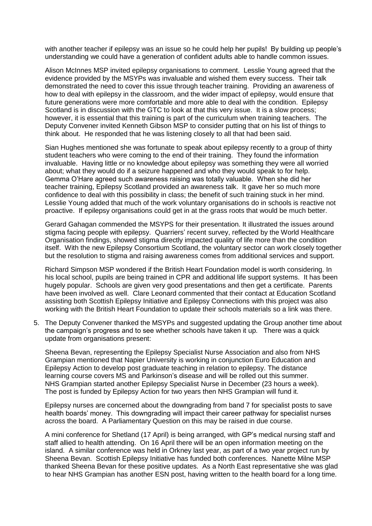with another teacher if epilepsy was an issue so he could help her pupils! By building up people's understanding we could have a generation of confident adults able to handle common issues.

Alison McInnes MSP invited epilepsy organisations to comment. Lesslie Young agreed that the evidence provided by the MSYPs was invaluable and wished them every success. Their talk demonstrated the need to cover this issue through teacher training. Providing an awareness of how to deal with epilepsy in the classroom, and the wider impact of epilepsy, would ensure that future generations were more comfortable and more able to deal with the condition. Epilepsy Scotland is in discussion with the GTC to look at that this very issue. It is a slow process; however, it is essential that this training is part of the curriculum when training teachers. The Deputy Convener invited Kenneth Gibson MSP to consider putting that on his list of things to think about. He responded that he was listening closely to all that had been said.

Sian Hughes mentioned she was fortunate to speak about epilepsy recently to a group of thirty student teachers who were coming to the end of their training. They found the information invaluable. Having little or no knowledge about epilepsy was something they were all worried about; what they would do if a seizure happened and who they would speak to for help. Gemma O'Hare agreed such awareness raising was totally valuable. When she did her teacher training, Epilepsy Scotland provided an awareness talk. It gave her so much more confidence to deal with this possibility in class; the benefit of such training stuck in her mind. Lesslie Young added that much of the work voluntary organisations do in schools is reactive not proactive. If epilepsy organisations could get in at the grass roots that would be much better.

Gerard Gahagan commended the MSYPS for their presentation. It illustrated the issues around stigma facing people with epilepsy. Quarriers' recent survey, reflected by the World Healthcare Organisation findings, showed stigma directly impacted quality of life more than the condition itself. With the new Epilepsy Consortium Scotland, the voluntary sector can work closely together but the resolution to stigma and raising awareness comes from additional services and support.

Richard Simpson MSP wondered if the British Heart Foundation model is worth considering. In his local school, pupils are being trained in CPR and additional life support systems. It has been hugely popular. Schools are given very good presentations and then get a certificate. Parents have been involved as well. Clare Leonard commented that their contact at Education Scotland assisting both Scottish Epilepsy Initiative and Epilepsy Connections with this project was also working with the British Heart Foundation to update their schools materials so a link was there.

5. The Deputy Convener thanked the MSYPs and suggested updating the Group another time about the campaign's progress and to see whether schools have taken it up. There was a quick update from organisations present:

Sheena Bevan, representing the Epilepsy Specialist Nurse Association and also from NHS Grampian mentioned that Napier University is working in conjunction Euro Education and Epilepsy Action to develop post graduate teaching in relation to epilepsy. The distance learning course covers MS and Parkinson's disease and will be rolled out this summer. NHS Grampian started another Epilepsy Specialist Nurse in December (23 hours a week). The post is funded by Epilepsy Action for two years then NHS Grampian will fund it.

Epilepsy nurses are concerned about the downgrading from band 7 for specialist posts to save health boards' money. This downgrading will impact their career pathway for specialist nurses across the board. A Parliamentary Question on this may be raised in due course.

A mini conference for Shetland (17 April) is being arranged, with GP's medical nursing staff and staff allied to health attending. On 16 April there will be an open information meeting on the island. A similar conference was held in Orkney last year, as part of a two year project run by Sheena Bevan. Scottish Epilepsy Initiative has funded both conferences. Nanette Milne MSP thanked Sheena Bevan for these positive updates. As a North East representative she was glad to hear NHS Grampian has another ESN post, having written to the health board for a long time.